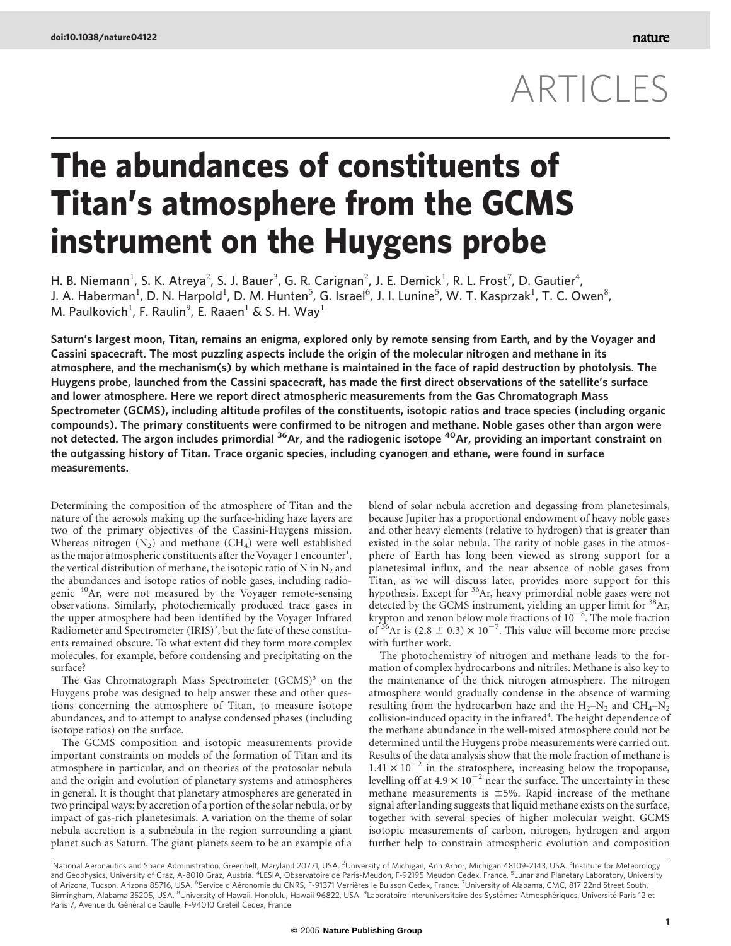# ARTICLES

# The abundances of constituents of Titan's atmosphere from the GCMS instrument on the Huygens probe

H. B. Niemann<sup>1</sup>, S. K. Atreya<sup>2</sup>, S. J. Bauer<sup>3</sup>, G. R. Carignan<sup>2</sup>, J. E. Demick<sup>1</sup>, R. L. Frost<sup>7</sup>, D. Gautier<sup>4</sup>, J. A. Haberman<sup>1</sup>, D. N. Harpold<sup>1</sup>, D. M. Hunten<sup>5</sup>, G. Israel<sup>6</sup>, J. I. Lunine<sup>5</sup>, W. T. Kasprzak<sup>1</sup>, T. C. Owen<sup>8</sup>, M. Paulkovich<sup>1</sup>, F. Raulin<sup>9</sup>, E. Raaen<sup>1</sup> & S. H. Way<sup>1</sup>

Saturn's largest moon, Titan, remains an enigma, explored only by remote sensing from Earth, and by the Voyager and Cassini spacecraft. The most puzzling aspects include the origin of the molecular nitrogen and methane in its atmosphere, and the mechanism(s) by which methane is maintained in the face of rapid destruction by photolysis. The Huygens probe, launched from the Cassini spacecraft, has made the first direct observations of the satellite's surface and lower atmosphere. Here we report direct atmospheric measurements from the Gas Chromatograph Mass Spectrometer (GCMS), including altitude profiles of the constituents, isotopic ratios and trace species (including organic compounds). The primary constituents were confirmed to be nitrogen and methane. Noble gases other than argon were not detected. The argon includes primordial <sup>36</sup>Ar, and the radiogenic isotope <sup>40</sup>Ar, providing an important constraint on the outgassing history of Titan. Trace organic species, including cyanogen and ethane, were found in surface measurements.

Determining the composition of the atmosphere of Titan and the nature of the aerosols making up the surface-hiding haze layers are two of the primary objectives of the Cassini-Huygens mission. Whereas nitrogen  $(N_2)$  and methane  $(CH_4)$  were well established as the major atmospheric constituents after the Voyager 1 encounter<sup>1</sup>, the vertical distribution of methane, the isotopic ratio of N in  $N_2$  and the abundances and isotope ratios of noble gases, including radiogenic <sup>40</sup>Ar, were not measured by the Voyager remote-sensing observations. Similarly, photochemically produced trace gases in the upper atmosphere had been identified by the Voyager Infrared Radiometer and Spectrometer (IRIS)<sup>2</sup>, but the fate of these constituents remained obscure. To what extent did they form more complex molecules, for example, before condensing and precipitating on the surface?

The Gas Chromatograph Mass Spectrometer  $(GCMS)$ <sup>3</sup> on the Huygens probe was designed to help answer these and other questions concerning the atmosphere of Titan, to measure isotope abundances, and to attempt to analyse condensed phases (including isotope ratios) on the surface.

The GCMS composition and isotopic measurements provide important constraints on models of the formation of Titan and its atmosphere in particular, and on theories of the protosolar nebula and the origin and evolution of planetary systems and atmospheres in general. It is thought that planetary atmospheres are generated in two principal ways: by accretion of a portion of the solar nebula, or by impact of gas-rich planetesimals. A variation on the theme of solar nebula accretion is a subnebula in the region surrounding a giant planet such as Saturn. The giant planets seem to be an example of a blend of solar nebula accretion and degassing from planetesimals, because Jupiter has a proportional endowment of heavy noble gases and other heavy elements (relative to hydrogen) that is greater than existed in the solar nebula. The rarity of noble gases in the atmosphere of Earth has long been viewed as strong support for a planetesimal influx, and the near absence of noble gases from Titan, as we will discuss later, provides more support for this hypothesis. Except for <sup>36</sup>Ar, heavy primordial noble gases were not detected by the GCMS instrument, yielding an upper limit for <sup>38</sup>Ar, krypton and xenon below mole fractions of  $10^{-8}$ . The mole fraction of <sup>36</sup>Ar is (2.8  $\pm$  0.3)  $\times$  10<sup>-7</sup>. This value will become more precise with further work.

The photochemistry of nitrogen and methane leads to the formation of complex hydrocarbons and nitriles. Methane is also key to the maintenance of the thick nitrogen atmosphere. The nitrogen atmosphere would gradually condense in the absence of warming resulting from the hydrocarbon haze and the  $H_2-N_2$  and  $CH_4-N_2$ collision-induced opacity in the infrared<sup>4</sup>. The height dependence of the methane abundance in the well-mixed atmosphere could not be determined until the Huygens probe measurements were carried out. Results of the data analysis show that the mole fraction of methane is  $1.41 \times 10^{-2}$  in the stratosphere, increasing below the tropopause, levelling off at  $4.9 \times 10^{-2}$  near the surface. The uncertainty in these methane measurements is  $\pm$ 5%. Rapid increase of the methane signal after landing suggests that liquid methane exists on the surface, together with several species of higher molecular weight. GCMS isotopic measurements of carbon, nitrogen, hydrogen and argon further help to constrain atmospheric evolution and composition

<sup>1</sup>National Aeronautics and Space Administration, Greenbelt, Maryland 20771, USA. <sup>2</sup>University of Michigan, Ann Arbor, Michigan 48109-2143, USA. <sup>3</sup>Institute for Meteorology<br>and Geophysics, University of Graz, A-8010 Graz of Arizona, Tucson, Arizona 85716, USA. <sup>6</sup>Service d'Aéronomie du CNRS, F-91371 Verrières le Buisson Cedex, France. <sup>7</sup>University of Alabama, CMC, 817 22nd Street South, Birmingham, Alabama 35205, USA. <sup>8</sup>University of Hawaii, Honolulu, Hawaii 96822, USA. <sup>9</sup>Laboratoire Interuniversitaire des Systèmes Atmosphériques, Université Paris 12 et Paris 7, Avenue du Général de Gaulle, F-94010 Creteil Cedex, France.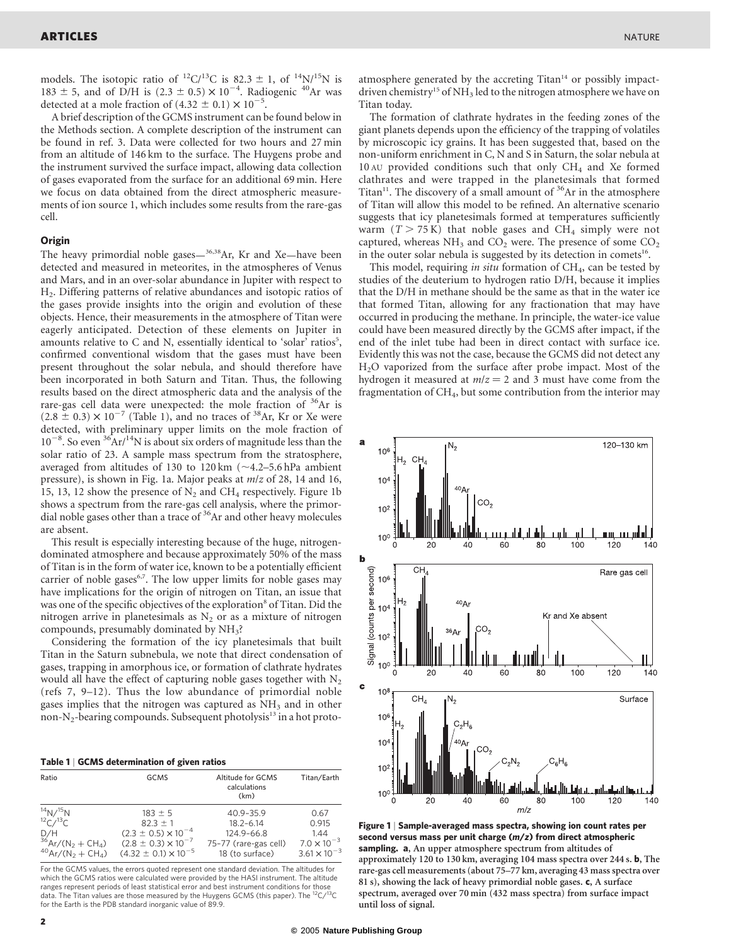models. The isotopic ratio of <sup>12</sup>C/<sup>13</sup>C is 82.3  $\pm$  1, of <sup>14</sup>N/<sup>15</sup>N is 183  $\pm$  5, and of D/H is (2.3  $\pm$  0.5)  $\times$  10<sup>-4</sup>. Radiogenic <sup>40</sup>Ar was detected at a mole fraction of  $(4.32 \pm 0.1) \times 10^{-5}$ .

A brief description of the GCMS instrument can be found below in the Methods section. A complete description of the instrument can be found in ref. 3. Data were collected for two hours and 27 min from an altitude of 146 km to the surface. The Huygens probe and the instrument survived the surface impact, allowing data collection of gases evaporated from the surface for an additional 69 min. Here we focus on data obtained from the direct atmospheric measurements of ion source 1, which includes some results from the rare-gas cell.

### **Origin**

The heavy primordial noble gases— $36,38$ Ar, Kr and Xe—have been detected and measured in meteorites, in the atmospheres of Venus and Mars, and in an over-solar abundance in Jupiter with respect to H2. Differing patterns of relative abundances and isotopic ratios of the gases provide insights into the origin and evolution of these objects. Hence, their measurements in the atmosphere of Titan were eagerly anticipated. Detection of these elements on Jupiter in amounts relative to C and N, essentially identical to 'solar' ratios<sup>5</sup>, confirmed conventional wisdom that the gases must have been present throughout the solar nebula, and should therefore have been incorporated in both Saturn and Titan. Thus, the following results based on the direct atmospheric data and the analysis of the rare-gas cell data were unexpected: the mole fraction of  $36Ar$  is  $(2.8 \pm 0.3) \times 10^{-7}$  (Table 1), and no traces of <sup>38</sup>Ar, Kr or Xe were detected, with preliminary upper limits on the mole fraction of  $10^{-8}$ . So even  $36\text{Ar}/14\text{N}$  is about six orders of magnitude less than the solar ratio of 23. A sample mass spectrum from the stratosphere, averaged from altitudes of 130 to 120 km  $(\sim 4.2 - 5.6$  hPa ambient pressure), is shown in Fig. 1a. Major peaks at m/z of 28, 14 and 16, 15, 13, 12 show the presence of  $N_2$  and CH<sub>4</sub> respectively. Figure 1b shows a spectrum from the rare-gas cell analysis, where the primordial noble gases other than a trace of  $36$ Ar and other heavy molecules are absent.

This result is especially interesting because of the huge, nitrogendominated atmosphere and because approximately 50% of the mass of Titan is in the form of water ice, known to be a potentially efficient carrier of noble gases $6,7$ . The low upper limits for noble gases may have implications for the origin of nitrogen on Titan, an issue that was one of the specific objectives of the exploration<sup>8</sup> of Titan. Did the nitrogen arrive in planetesimals as  $N_2$  or as a mixture of nitrogen compounds, presumably dominated by  $NH<sub>3</sub>$ ?

Considering the formation of the icy planetesimals that built Titan in the Saturn subnebula, we note that direct condensation of gases, trapping in amorphous ice, or formation of clathrate hydrates would all have the effect of capturing noble gases together with  $N_2$ (refs 7, 9–12). Thus the low abundance of primordial noble gases implies that the nitrogen was captured as  $NH<sub>3</sub>$  and in other non-N<sub>2</sub>-bearing compounds. Subsequent photolysis<sup>13</sup> in a hot proto-

|  |  | Table 1   GCMS determination of given ratios |  |  |  |
|--|--|----------------------------------------------|--|--|--|
|--|--|----------------------------------------------|--|--|--|

| Ratio                                       | GCMS                            | Altitude for GCMS<br>calculations<br>(km) | Titan/Earth           |
|---------------------------------------------|---------------------------------|-------------------------------------------|-----------------------|
| 14N/15N                                     | $183 \pm 5$                     | 40.9-35.9                                 | 0.67                  |
| $^{12}C/^{13}C$                             | $82.3 \pm 1$                    | $18.2 - 6.14$                             | 0.915                 |
| D/H                                         | $(2.3 \pm 0.5) \times 10^{-4}$  | 124.9-66.8                                | 1.44                  |
| $36$ Ar/(N <sub>2</sub> + CH <sub>4</sub> ) | $(2.8 \pm 0.3) \times 10^{-7}$  | 75-77 (rare-gas cell)                     | $7.0 \times 10^{-3}$  |
| $^{40}Ar/(N_{2} + CH_{4})$                  | $(4.32 \pm 0.1) \times 10^{-5}$ | 18 (to surface)                           | $3.61 \times 10^{-3}$ |

For the GCMS values, the errors quoted represent one standard deviation. The altitudes for which the GCMS ratios were calculated were provided by the HASI instrument. The altitude<br>ranges represent periods of least statistical error and best instrument conditions for those<br>data. The Titan values are those measure for the Earth is the PDB standard inorganic value of 89.9.

The formation of clathrate hydrates in the feeding zones of the giant planets depends upon the efficiency of the trapping of volatiles by microscopic icy grains. It has been suggested that, based on the non-uniform enrichment in C, N and S in Saturn, the solar nebula at 10 AU provided conditions such that only  $CH<sub>4</sub>$  and Xe formed clathrates and were trapped in the planetesimals that formed Titan<sup>11</sup>. The discovery of a small amount of  $36Ar$  in the atmosphere of Titan will allow this model to be refined. An alternative scenario suggests that icy planetesimals formed at temperatures sufficiently warm  $(T > 75 K)$  that noble gases and CH<sub>4</sub> simply were not captured, whereas  $NH_3$  and  $CO_2$  were. The presence of some  $CO_2$ in the outer solar nebula is suggested by its detection in comets<sup>16</sup>.

This model, requiring in situ formation of  $CH<sub>4</sub>$ , can be tested by studies of the deuterium to hydrogen ratio D/H, because it implies that the D/H in methane should be the same as that in the water ice that formed Titan, allowing for any fractionation that may have occurred in producing the methane. In principle, the water-ice value could have been measured directly by the GCMS after impact, if the end of the inlet tube had been in direct contact with surface ice. Evidently this was not the case, because the GCMS did not detect any H2O vaporized from the surface after probe impact. Most of the hydrogen it measured at  $m/z = 2$  and 3 must have come from the fragmentation of CH<sub>4</sub>, but some contribution from the interior may



Figure 1 | Sample-averaged mass spectra, showing ion count rates per second versus mass per unit charge (m/z) from direct atmospheric sampling. a, An upper atmosphere spectrum from altitudes of approximately 120 to 130 km, averaging 104 mass spectra over 244 s. b, The rare-gas cell measurements (about 75–77 km, averaging 43 mass spectra over 81 s), showing the lack of heavy primordial noble gases. c, A surface spectrum, averaged over 70 min (432 mass spectra) from surface impact until loss of signal.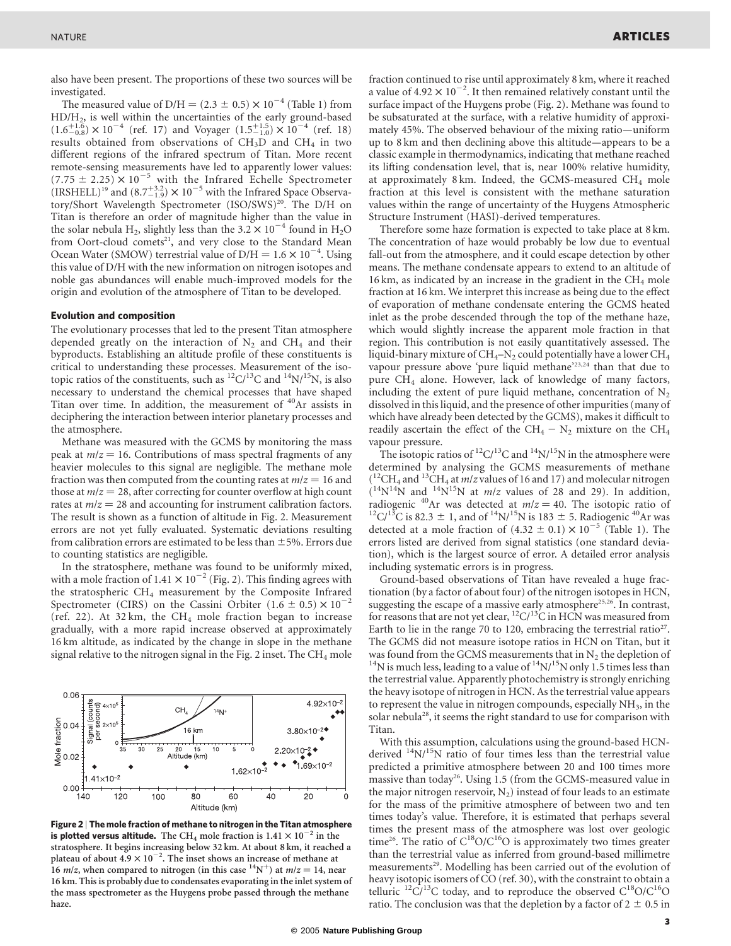also have been present. The proportions of these two sources will be investigated.

The measured value of D/H =  $(2.3 \pm 0.5) \times 10^{-4}$  (Table 1) from HD/H2, is well within the uncertainties of the early ground-based  $(1.6^{+1.6}_{-0.8}) \times 10^{-4}$  (ref. 17) and Voyager  $(1.5^{+1.5}_{-1.0}) \times 10^{-4}$  (ref. 18) results obtained from observations of  $CH<sub>3</sub>D$  and  $CH<sub>4</sub>$  in two different regions of the infrared spectrum of Titan. More recent remote-sensing measurements have led to apparently lower values:  $(7.75 \pm 2.25) \times 10^{-5}$  with the Infrared Echelle Spectrometer  $(IRSHELL)^{19}$  and  $(8.7^{+3.2}_{-1.9}) \times 10^{-5}$  with the Infrared Space Observatory/Short Wavelength Spectrometer (ISO/SWS)<sup>20</sup>. The D/H on Titan is therefore an order of magnitude higher than the value in the solar nebula H<sub>2</sub>, slightly less than the  $3.2 \times 10^{-4}$  found in H<sub>2</sub>O from Oort-cloud comets<sup>21</sup>, and very close to the Standard Mean Ocean Water (SMOW) terrestrial value of  $D/H = 1.6 \times 10^{-4}$ . Using this value of D/H with the new information on nitrogen isotopes and noble gas abundances will enable much-improved models for the origin and evolution of the atmosphere of Titan to be developed.

#### Evolution and composition

The evolutionary processes that led to the present Titan atmosphere depended greatly on the interaction of  $N_2$  and CH<sub>4</sub> and their byproducts. Establishing an altitude profile of these constituents is critical to understanding these processes. Measurement of the isotopic ratios of the constituents, such as  ${}^{12}C/{}^{13}C$  and  ${}^{14}N/{}^{15}N$ , is also necessary to understand the chemical processes that have shaped Titan over time. In addition, the measurement of  $40Ar$  assists in deciphering the interaction between interior planetary processes and the atmosphere.

Methane was measured with the GCMS by monitoring the mass peak at  $m/z = 16$ . Contributions of mass spectral fragments of any heavier molecules to this signal are negligible. The methane mole fraction was then computed from the counting rates at  $m/z = 16$  and those at  $m/z = 28$ , after correcting for counter overflow at high count rates at  $m/z = 28$  and accounting for instrument calibration factors. The result is shown as a function of altitude in Fig. 2. Measurement errors are not yet fully evaluated. Systematic deviations resulting from calibration errors are estimated to be less than  $\pm$ 5%. Errors due to counting statistics are negligible.

In the stratosphere, methane was found to be uniformly mixed, with a mole fraction of  $1.41 \times 10^{-2}$  (Fig. 2). This finding agrees with the stratospheric  $CH_4$  measurement by the Composite Infrared Spectrometer (CIRS) on the Cassini Orbiter  $(1.6 \pm 0.5) \times 10^{-2}$ (ref. 22). At 32 km, the  $CH_4$  mole fraction began to increase gradually, with a more rapid increase observed at approximately 16 km altitude, as indicated by the change in slope in the methane signal relative to the nitrogen signal in the Fig. 2 inset. The  $CH_4$  mole



Figure 2 | The mole fraction of methane to nitrogen in the Titan atmosphere is plotted versus altitude. The CH<sub>4</sub> mole fraction is  $1.41 \times 10^{-2}$  in the stratosphere. It begins increasing below 32 km. At about 8 km, it reached a plateau of about  $4.9 \times 10^{-2}$ . The inset shows an increase of methane at 16 m/z, when compared to nitrogen (in this case  $14N^+$ ) at  $m/z = 14$ , near 16 km. This is probably due to condensates evaporating in the inlet system of the mass spectrometer as the Huygens probe passed through the methane haze.

fraction continued to rise until approximately 8 km, where it reached a value of  $4.92 \times 10^{-2}$ . It then remained relatively constant until the surface impact of the Huygens probe (Fig. 2). Methane was found to be subsaturated at the surface, with a relative humidity of approximately 45%. The observed behaviour of the mixing ratio—uniform up to 8 km and then declining above this altitude—appears to be a classic example in thermodynamics, indicating that methane reached its lifting condensation level, that is, near 100% relative humidity, at approximately 8 km. Indeed, the GCMS-measured  $CH<sub>4</sub>$  mole fraction at this level is consistent with the methane saturation values within the range of uncertainty of the Huygens Atmospheric Structure Instrument (HASI)-derived temperatures.

Therefore some haze formation is expected to take place at 8 km. The concentration of haze would probably be low due to eventual fall-out from the atmosphere, and it could escape detection by other means. The methane condensate appears to extend to an altitude of 16 km, as indicated by an increase in the gradient in the  $CH_4$  mole fraction at 16 km. We interpret this increase as being due to the effect of evaporation of methane condensate entering the GCMS heated inlet as the probe descended through the top of the methane haze, which would slightly increase the apparent mole fraction in that region. This contribution is not easily quantitatively assessed. The liquid-binary mixture of  $\rm CH_4-N_2$  could potentially have a lower  $\rm CH_4$ vapour pressure above 'pure liquid methane'<sup>23,24</sup> than that due to pure CH4 alone. However, lack of knowledge of many factors, including the extent of pure liquid methane, concentration of  $N_2$ dissolved in this liquid, and the presence of other impurities (many of which have already been detected by the GCMS), makes it difficult to readily ascertain the effect of the CH<sub>4</sub> –  $N_2$  mixture on the CH<sub>4</sub> vapour pressure.

The isotopic ratios of  ${}^{12}C/{}^{13}C$  and  ${}^{14}N/{}^{15}N$  in the atmosphere were determined by analysing the GCMS measurements of methane  $\binom{12}{1}$ CH<sub>4</sub> and  $\frac{13}{12}$ CH<sub>4</sub> at *m*/z values of 16 and 17) and molecular nitrogen  $(14N)^{14}$ N and  $14N^{15}$ N at *m/z* values of 28 and 29). In addition, radiogenic <sup>40</sup>Ar was detected at  $m/z = 40$ . The isotopic ratio of <sup>12</sup>C/<sup>13</sup>C is 82.3  $\pm$  1, and of <sup>14</sup>N/<sup>15</sup>N is 183  $\pm$  5. Radiogenic <sup>40</sup>Ar was detected at a mole fraction of  $(4.32 \pm 0.1) \times 10^{-5}$  (Table 1). The errors listed are derived from signal statistics (one standard deviation), which is the largest source of error. A detailed error analysis including systematic errors is in progress.

Ground-based observations of Titan have revealed a huge fractionation (by a factor of about four) of the nitrogen isotopes in HCN, suggesting the escape of a massive early atmosphere<sup>25,26</sup>. In contrast, for reasons that are not yet clear,  ${}^{12}$ C/ ${}^{13}$ C in HCN was measured from Earth to lie in the range 70 to 120, embracing the terrestrial ratio<sup>27</sup>. The GCMS did not measure isotope ratios in HCN on Titan, but it was found from the GCMS measurements that in N<sub>2</sub> the depletion of <sup>14</sup>N is much less, leading to a value of <sup>14</sup>N/<sup>15</sup>N only 1.5 times less than the terrestrial value. Apparently photochemistry is strongly enriching the heavy isotope of nitrogen in HCN. As the terrestrial value appears to represent the value in nitrogen compounds, especially  $NH<sub>3</sub>$ , in the solar nebula<sup>28</sup>, it seems the right standard to use for comparison with Titan.

With this assumption, calculations using the ground-based HCNderived  $14N/15N$  ratio of four times less than the terrestrial value predicted a primitive atmosphere between 20 and 100 times more massive than today<sup>26</sup>. Using 1.5 (from the GCMS-measured value in the major nitrogen reservoir,  $N_2$ ) instead of four leads to an estimate for the mass of the primitive atmosphere of between two and ten times today's value. Therefore, it is estimated that perhaps several times the present mass of the atmosphere was lost over geologic time<sup>26</sup>. The ratio of  $C^{18}O/C^{16}O$  is approximately two times greater than the terrestrial value as inferred from ground-based millimetre measurements<sup>29</sup>. Modelling has been carried out of the evolution of heavy isotopic isomers of CO (ref. 30), with the constraint to obtain a telluric <sup>12</sup>C/<sup>13</sup>C today, and to reproduce the observed  $C^{18}O/C^{16}O$ ratio. The conclusion was that the depletion by a factor of  $2 \pm 0.5$  in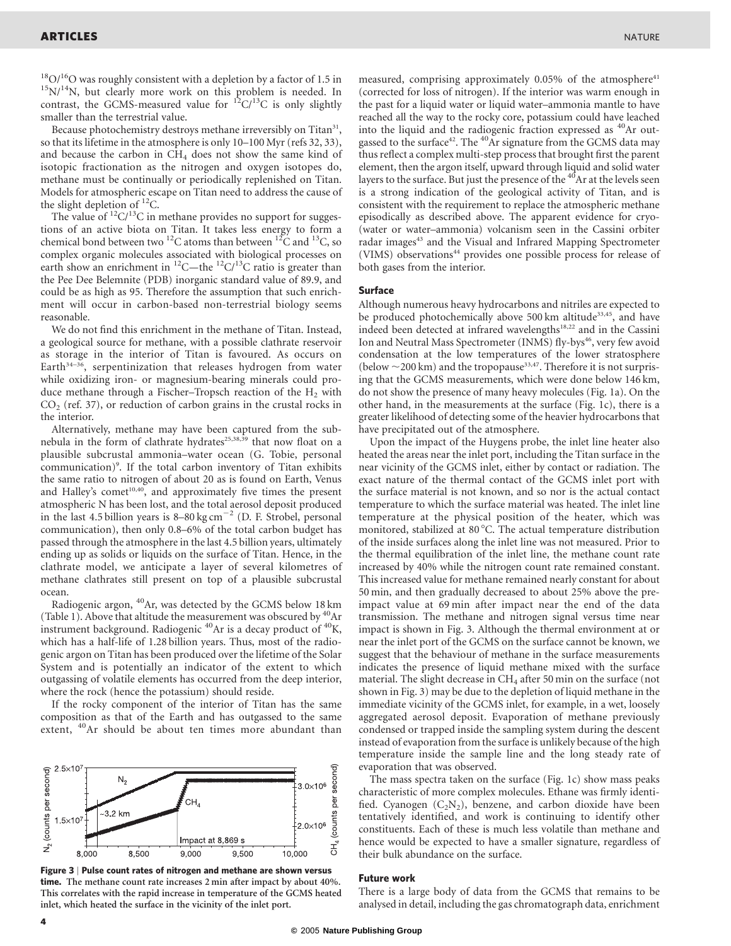<sup>18</sup>O/<sup>16</sup>O was roughly consistent with a depletion by a factor of 1.5 in  $15N/14N$ , but clearly more work on this problem is needed. In contrast, the GCMS-measured value for  ${}^{12}C/{}^{13}C$  is only slightly smaller than the terrestrial value.

Because photochemistry destroys methane irreversibly on Titan<sup>31</sup>, so that its lifetime in the atmosphere is only 10–100 Myr (refs 32, 33), and because the carbon in  $CH_4$  does not show the same kind of isotopic fractionation as the nitrogen and oxygen isotopes do, methane must be continually or periodically replenished on Titan. Models for atmospheric escape on Titan need to address the cause of the slight depletion of  $^{12}$ C.

The value of  ${}^{12}C/{}^{13}C$  in methane provides no support for suggestions of an active biota on Titan. It takes less energy to form a chemical bond between two <sup>12</sup>C atoms than between <sup>12</sup>C and <sup>13</sup>C, so complex organic molecules associated with biological processes on earth show an enrichment in <sup>12</sup>C—the <sup>12</sup>C/<sup>13</sup>C ratio is greater than the Pee Dee Belemnite (PDB) inorganic standard value of 89.9, and could be as high as 95. Therefore the assumption that such enrichment will occur in carbon-based non-terrestrial biology seems reasonable.

We do not find this enrichment in the methane of Titan. Instead, a geological source for methane, with a possible clathrate reservoir as storage in the interior of Titan is favoured. As occurs on Earth $34-36$ , serpentinization that releases hydrogen from water while oxidizing iron- or magnesium-bearing minerals could produce methane through a Fischer–Tropsch reaction of the  $H_2$  with  $CO<sub>2</sub>$  (ref. 37), or reduction of carbon grains in the crustal rocks in the interior.

Alternatively, methane may have been captured from the subnebula in the form of clathrate hydrates<sup>25,38,39</sup> that now float on a plausible subcrustal ammonia–water ocean (G. Tobie, personal communication)<sup>9</sup>. If the total carbon inventory of Titan exhibits the same ratio to nitrogen of about 20 as is found on Earth, Venus and Halley's comet<sup>10,40</sup>, and approximately five times the present atmospheric N has been lost, and the total aerosol deposit produced in the last 4.5 billion years is  $8-80 \text{ kg cm}^{-2}$  (D. F. Strobel, personal communication), then only 0.8–6% of the total carbon budget has passed through the atmosphere in the last 4.5 billion years, ultimately ending up as solids or liquids on the surface of Titan. Hence, in the clathrate model, we anticipate a layer of several kilometres of methane clathrates still present on top of a plausible subcrustal ocean.

Radiogenic argon, <sup>40</sup>Ar, was detected by the GCMS below 18 km (Table 1). Above that altitude the measurement was obscured by <sup>40</sup>Ar instrument background. Radiogenic 40Ar is a decay product of 40K, which has a half-life of 1.28 billion years. Thus, most of the radiogenic argon on Titan has been produced over the lifetime of the Solar System and is potentially an indicator of the extent to which outgassing of volatile elements has occurred from the deep interior, where the rock (hence the potassium) should reside.

If the rocky component of the interior of Titan has the same composition as that of the Earth and has outgassed to the same extent, <sup>40</sup>Ar should be about ten times more abundant than



Figure 3 | Pulse count rates of nitrogen and methane are shown versus time. The methane count rate increases 2 min after impact by about 40%. This correlates with the rapid increase in temperature of the GCMS heated inlet, which heated the surface in the vicinity of the inlet port.

measured, comprising approximately 0.05% of the atmosphere<sup>41</sup> (corrected for loss of nitrogen). If the interior was warm enough in the past for a liquid water or liquid water–ammonia mantle to have reached all the way to the rocky core, potassium could have leached into the liquid and the radiogenic fraction expressed as <sup>40</sup>Ar outgassed to the surface<sup>42</sup>. The <sup>40</sup>Ar signature from the GCMS data may thus reflect a complex multi-step process that brought first the parent element, then the argon itself, upward through liquid and solid water layers to the surface. But just the presence of the <sup>40</sup>Ar at the levels seen is a strong indication of the geological activity of Titan, and is consistent with the requirement to replace the atmospheric methane episodically as described above. The apparent evidence for cryo- (water or water–ammonia) volcanism seen in the Cassini orbiter radar images<sup>43</sup> and the Visual and Infrared Mapping Spectrometer (VIMS) observations<sup>44</sup> provides one possible process for release of both gases from the interior.

## Surface

Although numerous heavy hydrocarbons and nitriles are expected to be produced photochemically above 500 km altitude<sup>33,45</sup>, and have indeed been detected at infrared wavelengths<sup>18,22</sup> and in the Cassini Ion and Neutral Mass Spectrometer (INMS) fly-bys<sup>46</sup>, very few avoid condensation at the low temperatures of the lower stratosphere (below  $\sim$  200 km) and the tropopause<sup>33,47</sup>. Therefore it is not surprising that the GCMS measurements, which were done below 146 km, do not show the presence of many heavy molecules (Fig. 1a). On the other hand, in the measurements at the surface (Fig. 1c), there is a greater likelihood of detecting some of the heavier hydrocarbons that have precipitated out of the atmosphere.

Upon the impact of the Huygens probe, the inlet line heater also heated the areas near the inlet port, including the Titan surface in the near vicinity of the GCMS inlet, either by contact or radiation. The exact nature of the thermal contact of the GCMS inlet port with the surface material is not known, and so nor is the actual contact temperature to which the surface material was heated. The inlet line temperature at the physical position of the heater, which was monitored, stabilized at 80 °C. The actual temperature distribution of the inside surfaces along the inlet line was not measured. Prior to the thermal equilibration of the inlet line, the methane count rate increased by 40% while the nitrogen count rate remained constant. This increased value for methane remained nearly constant for about 50 min, and then gradually decreased to about 25% above the preimpact value at 69 min after impact near the end of the data transmission. The methane and nitrogen signal versus time near impact is shown in Fig. 3. Although the thermal environment at or near the inlet port of the GCMS on the surface cannot be known, we suggest that the behaviour of methane in the surface measurements indicates the presence of liquid methane mixed with the surface material. The slight decrease in  $CH_4$  after 50 min on the surface (not shown in Fig. 3) may be due to the depletion of liquid methane in the immediate vicinity of the GCMS inlet, for example, in a wet, loosely aggregated aerosol deposit. Evaporation of methane previously condensed or trapped inside the sampling system during the descent instead of evaporation from the surface is unlikely because of the high temperature inside the sample line and the long steady rate of evaporation that was observed.

The mass spectra taken on the surface (Fig. 1c) show mass peaks characteristic of more complex molecules. Ethane was firmly identified. Cyanogen  $(C_2N_2)$ , benzene, and carbon dioxide have been tentatively identified, and work is continuing to identify other constituents. Each of these is much less volatile than methane and hence would be expected to have a smaller signature, regardless of their bulk abundance on the surface.

### Future work

There is a large body of data from the GCMS that remains to be analysed in detail, including the gas chromatograph data, enrichment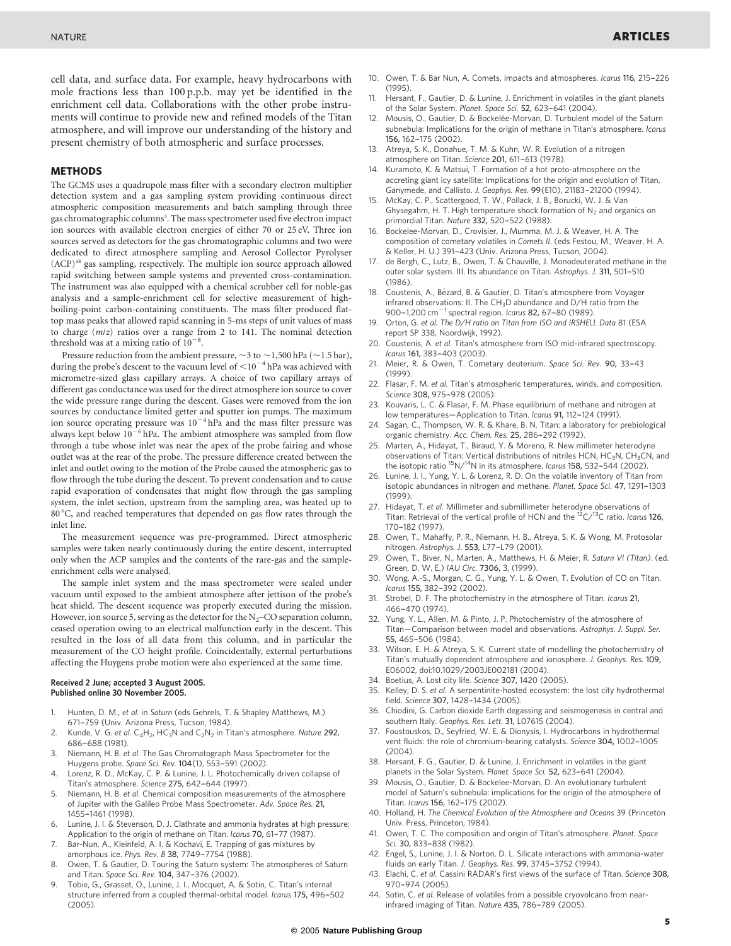cell data, and surface data. For example, heavy hydrocarbons with mole fractions less than 100 p.p.b. may yet be identified in the enrichment cell data. Collaborations with the other probe instruments will continue to provide new and refined models of the Titan atmosphere, and will improve our understanding of the history and present chemistry of both atmospheric and surface processes.

#### METHODS

The GCMS uses a quadrupole mass filter with a secondary electron multiplier detection system and a gas sampling system providing continuous direct atmospheric composition measurements and batch sampling through three gas chromatographic columns<sup>3</sup>. The mass spectrometer used five electron impact ion sources with available electron energies of either 70 or 25 eV. Three ion sources served as detectors for the gas chromatographic columns and two were dedicated to direct atmosphere sampling and Aerosol Collector Pyrolyser (ACP)48 gas sampling, respectively. The multiple ion source approach allowed rapid switching between sample systems and prevented cross-contamination. The instrument was also equipped with a chemical scrubber cell for noble-gas analysis and a sample-enrichment cell for selective measurement of highboiling-point carbon-containing constituents. The mass filter produced flattop mass peaks that allowed rapid scanning in 5-ms steps of unit values of mass to charge (m/z) ratios over a range from 2 to 141. The nominal detection threshold was at a mixing ratio of  $10^{-8}$ .

Pressure reduction from the ambient pressure,  $\sim$ 3 to  $\sim$ 1,500 hPa ( $\sim$ 1.5 bar), during the probe's descent to the vacuum level of  $\leq$  10<sup>-4</sup> hPa was achieved with micrometre-sized glass capillary arrays. A choice of two capillary arrays of different gas conductance was used for the direct atmosphere ion source to cover the wide pressure range during the descent. Gases were removed from the ion sources by conductance limited getter and sputter ion pumps. The maximum ion source operating pressure was  $10^{-4}$  hPa and the mass filter pressure was always kept below  $10^{-6}$  hPa. The ambient atmosphere was sampled from flow through a tube whose inlet was near the apex of the probe fairing and whose outlet was at the rear of the probe. The pressure difference created between the inlet and outlet owing to the motion of the Probe caused the atmospheric gas to flow through the tube during the descent. To prevent condensation and to cause rapid evaporation of condensates that might flow through the gas sampling system, the inlet section, upstream from the sampling area, was heated up to 80 °C, and reached temperatures that depended on gas flow rates through the inlet line.

The measurement sequence was pre-programmed. Direct atmospheric samples were taken nearly continuously during the entire descent, interrupted only when the ACP samples and the contents of the rare-gas and the sampleenrichment cells were analysed.

The sample inlet system and the mass spectrometer were sealed under vacuum until exposed to the ambient atmosphere after jettison of the probe's heat shield. The descent sequence was properly executed during the mission. However, ion source 5, serving as the detector for the  $N_2$ –CO separation column, ceased operation owing to an electrical malfunction early in the descent. This resulted in the loss of all data from this column, and in particular the measurement of the CO height profile. Coincidentally, external perturbations affecting the Huygens probe motion were also experienced at the same time.

#### Received 2 June; accepted 3 August 2005. Published online 30 November 2005.

- 1. Hunten, D. M., et al. in Saturn (eds Gehrels, T. & Shapley Matthews, M.) 671–759 (Univ. Arizona Press, Tucson, 1984).
- 2. Kunde, V. G. et al.  $C_4H_2$ , H $C_3N$  and  $C_2N_2$  in Titan's atmosphere. Nature 292, 686-688 (1981).
- 3. Niemann, H. B. et al. The Gas Chromatograph Mass Spectrometer for the Huygens probe. Space Sci. Rev. 104(1), 553-591 (2002).
- 4. Lorenz, R. D., McKay, C. P. & Lunine, J. L. Photochemically driven collapse of Titan's atmosphere. Science 275, 642-644 (1997).
- 5. Niemann, H. B. et al. Chemical composition measurements of the atmosphere of Jupiter with the Galileo Probe Mass Spectrometer. Adv. Space Res. 21, 1455–-1461 (1998).
- 6. Lunine, J. I. & Stevenson, D. J. Clathrate and ammonia hydrates at high pressure: Application to the origin of methane on Titan. Icarus 70, 61-77 (1987).
- 7. Bar-Nun, A., Kleinfeld, A. I. & Kochavi, E. Trapping of gas mixtures by amorphous ice. Phys. Rev. B 38, 7749-7754 (1988).
- 8. Owen, T. & Gautier, D. Touring the Saturn system: The atmospheres of Saturn and Titan. Space Sci. Rev. 104, 347-376 (2002).
- 9. Tobie, G., Grasset, O., Lunine, J. I., Mocquet, A. & Sotin, C. Titan's internal structure inferred from a coupled thermal-orbital model. Icarus 175, 496-502 (2005).
- 10. Owen, T. & Bar Nun, A. Comets, impacts and atmospheres. Icarus 116, 215–-226 (1995).
- Hersant, F., Gautier, D. & Lunine, J. Enrichment in volatiles in the giant planets of the Solar System. Planet. Space Sci. 52, 623–-641 (2004).
- 12. Mousis, O., Gautier, D. & Bockelée-Morvan, D. Turbulent model of the Saturn subnebula: Implications for the origin of methane in Titan's atmosphere. Icarus 156, 162-175 (2002).
- 13. Atreya, S. K., Donahue, T. M. & Kuhn, W. R. Evolution of a nitrogen atmosphere on Titan. Science 201, 611-613 (1978).
- Kuramoto, K. & Matsui, T. Formation of a hot proto-atmosphere on the accreting giant icy satellite: Implications for the origin and evolution of Titan, Ganymede, and Callisto. J. Geophys. Res. 99(E10), 21183-21200 (1994).
- McKay, C. P., Scattergood, T. W., Pollack, J. B., Borucki, W. J. & Van Ghysegahm, H. T. High temperature shock formation of  $N_2$  and organics on primordial Titan. Nature 332, 520-522 (1988).
- Bockelee-Morvan, D., Crovisier, J., Mumma, M. J. & Weaver, H. A. The composition of cometary volatiles in Comets II. (eds Festou, M., Weaver, H. A. & Keller, H. U.) 391-423 (Univ. Arizona Press, Tucson, 2004).
- de Bergh, C., Lutz, B., Owen, T. & Chauville, J. Monodeuterated methane in the outer solar system. III. Its abundance on Titan. Astrophys. J. 311, 501-510 (1986).
- 18. Coustenis, A., Bézard, B. & Gautier, D. Titan's atmosphere from Voyager infrared observations: II. The  $CH_3D$  abundance and  $D/H$  ratio from the 900–1,200 cm<sup>-1</sup> spectral region. Icarus 82, 67–80 (1989).
- Orton, G. et al. The D/H ratio on Titan from ISO and IRSHELL Data 81 (ESA report SP 338, Noordwijk, 1992).
- Coustenis, A. et al. Titan's atmosphere from ISO mid-infrared spectroscopy. Icarus 161, 383-403 (2003).
- 21. Meier, R. & Owen, T. Cometary deuterium. Space Sci. Rev. 90, 33–-43 (1999).
- 22. Flasar, F. M. et al. Titan's atmospheric temperatures, winds, and composition. Science 308, 975-978 (2005).
- 23. Kouvaris, L. C. & Flasar, F. M. Phase equilibrium of methane and nitrogen at low temperatures-Application to Titan. Icarus 91, 112-124 (1991).
- 24. Sagan, C., Thompson, W. R. & Khare, B. N. Titan: a laboratory for prebiological organic chemistry. Acc. Chem. Res. 25, 286-292 (1992).
- 25. Marten, A., Hidayat, T., Biraud, Y. & Moreno, R. New millimeter heterodyne observations of Titan: Vertical distributions of nitriles HCN, HC<sub>3</sub>N, CH<sub>3</sub>CN, and<br>the isotopic ratio <sup>15</sup>N/<sup>14</sup>N in its atmosphere. *Icarus* **158,** 532–544 (2002).
- 26. Lunine, J. I., Yung, Y. L. & Lorenz, R. D. On the volatile inventory of Titan from isotopic abundances in nitrogen and methane. Planet. Space Sci. 47, 1291-1303 (1999).
- 27. Hidayat, T. et al. Millimeter and submillimeter heterodyne observations of Titan: Retrieval of the vertical profile of HCN and the  ${}^{12}C/I{}^{3}C$  ratio. Icarus 126, 170–182 (1997).
- 28. Owen, T., Mahaffy, P. R., Niemann, H. B., Atreya, S. K. & Wong, M. Protosolar nitrogen. Astrophys. J. 553, L77–-L79 (2001).
- Owen, T., Biver, N., Marten, A., Matthews, H. & Meier, R. Saturn VI (Titan). (ed. Green, D. W. E.) IAU Circ. 7306, 3, (1999).
- 30. Wong, A.-S., Morgan, C. G., Yung, Y. L. & Owen, T. Evolution of CO on Titan. Icarus 155, 382-392 (2002).
- Strobel, D. F. The photochemistry in the atmosphere of Titan. Icarus 21, 466–-470 (1974).
- 32. Yung, Y. L., Allen, M. & Pinto, J. P. Photochemistry of the atmosphere of Titan—Comparison between model and observations. Astrophys. J. Suppl. Ser. 55, 465-506 (1984).
- 33. Wilson, E. H. & Atreya, S. K. Current state of modelling the photochemistry of Titan's mutually dependent atmosphere and ionosphere. J. Geophys. Res. 109, E06002, doi:10.1029/2003JE002181 (2004).
- 34. Boetius, A. Lost city life. Science 307, 1420 (2005).
- Kelley, D. S. et al. A serpentinite-hosted ecosystem: the lost city hydrothermal field. Science 307, 1428-1434 (2005).
- Chiodini, G. Carbon dioxide Earth degassing and seismogenesis in central and southern Italy. Geophys. Res. Lett. 31, L07615 (2004).
- 37. Foustouskos, D., Seyfried, W. E. & Dionysis, I. Hydrocarbons in hydrothermal vent fluids: the role of chromium-bearing catalysts. Science 304, 1002-1005 (2004).
- 38. Hersant, F. G., Gautier, D. & Lunine, J. Enrichment in volatiles in the giant planets in the Solar System. Planet. Space Sci. 52, 623-641 (2004).
- 39. Mousis, O., Gautier, D. & Bockelee-Morvan, D. An evolutionary turbulent model of Saturn's subnebula: implications for the origin of the atmosphere of Titan. Icarus 156, 162-175 (2002).
- 40. Holland, H. The Chemical Evolution of the Atmosphere and Oceans 39 (Princeton Univ. Press, Princeton, 1984).
- 41. Owen, T. C. The composition and origin of Titan's atmosphere. Planet. Space Sci. 30, 833-838 (1982).
- 42. Engel, S., Lunine, J. I. & Norton, D. L. Silicate interactions with ammonia-water fluids on early Titan. J. Geophys. Res. 99, 3745-3752 (1994).
- 43. Elachi, C. et al. Cassini RADAR's first views of the surface of Titan. Science 308, 970–974 (2005).
- 44. Sotin, C. et al. Release of volatiles from a possible cryovolcano from nearinfrared imaging of Titan. Nature 435, 786-789 (2005).